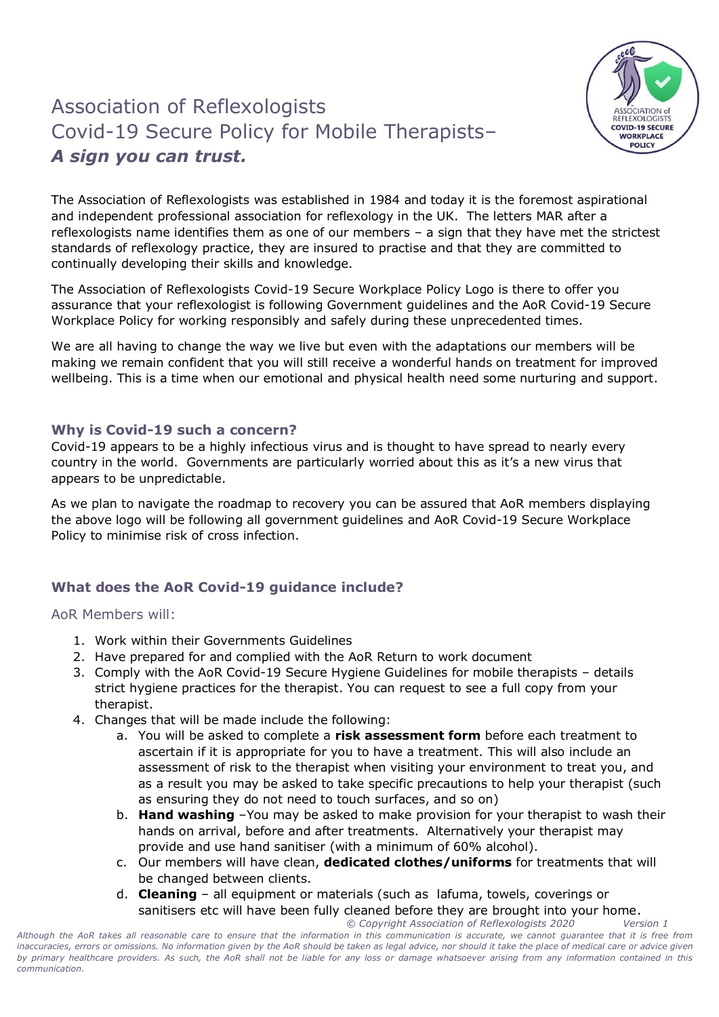## Association of Reflexologists Covid-19 Secure Policy for Mobile Therapists– *A sign you can trust.*



The Association of Reflexologists was established in 1984 and today it is the foremost aspirational and independent professional association for reflexology in the UK. The letters MAR after a reflexologists name identifies them as one of our members – a sign that they have met the strictest standards of reflexology practice, they are insured to practise and that they are committed to continually developing their skills and knowledge.

The Association of Reflexologists Covid-19 Secure Workplace Policy Logo is there to offer you assurance that your reflexologist is following Government guidelines and the AoR Covid-19 Secure Workplace Policy for working responsibly and safely during these unprecedented times.

We are all having to change the way we live but even with the adaptations our members will be making we remain confident that you will still receive a wonderful hands on treatment for improved wellbeing. This is a time when our emotional and physical health need some nurturing and support.

## **Why is Covid-19 such a concern?**

Covid-19 appears to be a highly infectious virus and is thought to have spread to nearly every country in the world. Governments are particularly worried about this as it's a new virus that appears to be unpredictable.

As we plan to navigate the roadmap to recovery you can be assured that AoR members displaying the above logo will be following all government guidelines and AoR Covid-19 Secure Workplace Policy to minimise risk of cross infection.

## **What does the AoR Covid-19 guidance include?**

## AoR Members will:

- 1. Work within their Governments Guidelines
- 2. Have prepared for and complied with the AoR Return to work document
- 3. Comply with the AoR Covid-19 Secure Hygiene Guidelines for mobile therapists details strict hygiene practices for the therapist. You can request to see a full copy from your therapist.
- 4. Changes that will be made include the following:
	- a. You will be asked to complete a **risk assessment form** before each treatment to ascertain if it is appropriate for you to have a treatment. This will also include an assessment of risk to the therapist when visiting your environment to treat you, and as a result you may be asked to take specific precautions to help your therapist (such as ensuring they do not need to touch surfaces, and so on)
	- b. **Hand washing** –You may be asked to make provision for your therapist to wash their hands on arrival, before and after treatments. Alternatively your therapist may provide and use hand sanitiser (with a minimum of 60% alcohol).
	- c. Our members will have clean, **dedicated clothes/uniforms** for treatments that will be changed between clients.
	- *© Copyright Association of Reflexologists 2020 Version 1* d. **Cleaning** – all equipment or materials (such as lafuma, towels, coverings or sanitisers etc will have been fully cleaned before they are brought into your home.

*Although the AoR takes all reasonable care to ensure that the information in this communication is accurate, we cannot guarantee that it is free from inaccuracies, errors or omissions. No information given by the AoR should be taken as legal advice, nor should it take the place of medical care or advice given by primary healthcare providers. As such, the AoR shall not be liable for any loss or damage whatsoever arising from any information contained in this communication.*